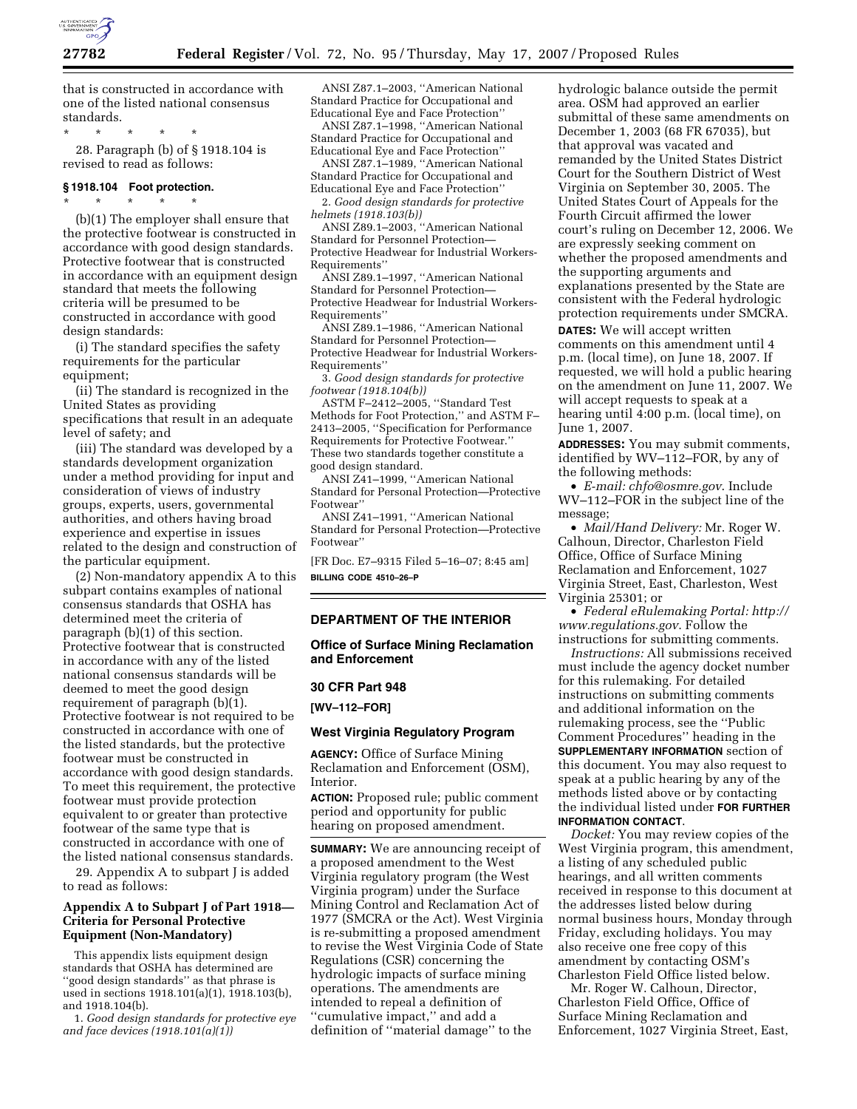

that is constructed in accordance with one of the listed national consensus standards.

\* \* \* \* \*

28. Paragraph (b) of § 1918.104 is revised to read as follows:

## **§ 1918.104 Foot protection.**

\* \* \* \* \* (b)(1) The employer shall ensure that the protective footwear is constructed in accordance with good design standards. Protective footwear that is constructed in accordance with an equipment design standard that meets the following criteria will be presumed to be constructed in accordance with good design standards:

(i) The standard specifies the safety requirements for the particular equipment;

(ii) The standard is recognized in the United States as providing specifications that result in an adequate level of safety; and

(iii) The standard was developed by a standards development organization under a method providing for input and consideration of views of industry groups, experts, users, governmental authorities, and others having broad experience and expertise in issues related to the design and construction of the particular equipment.

(2) Non-mandatory appendix A to this subpart contains examples of national consensus standards that OSHA has determined meet the criteria of paragraph (b)(1) of this section. Protective footwear that is constructed in accordance with any of the listed national consensus standards will be deemed to meet the good design requirement of paragraph (b)(1). Protective footwear is not required to be constructed in accordance with one of the listed standards, but the protective footwear must be constructed in accordance with good design standards. To meet this requirement, the protective footwear must provide protection equivalent to or greater than protective footwear of the same type that is constructed in accordance with one of the listed national consensus standards.

29. Appendix A to subpart J is added to read as follows:

## **Appendix A to Subpart J of Part 1918— Criteria for Personal Protective Equipment (Non-Mandatory)**

This appendix lists equipment design standards that OSHA has determined are ''good design standards'' as that phrase is used in sections 1918.101(a)(1), 1918.103(b), and 1918.104(b).

1. *Good design standards for protective eye and face devices (1918.101(a)(1))* 

ANSI Z87.1–2003, ''American National Standard Practice for Occupational and Educational Eye and Face Protection''

ANSI Z87.1–1998, ''American National Standard Practice for Occupational and Educational Eye and Face Protection'' ANSI Z87.1–1989, ''American National

Standard Practice for Occupational and Educational Eye and Face Protection''

2. *Good design standards for protective helmets (1918.103(b))* 

ANSI Z89.1–2003, ''American National Standard for Personnel Protection— Protective Headwear for Industrial Workers-Requirements''

ANSI Z89.1–1997, ''American National Standard for Personnel Protection— Protective Headwear for Industrial Workers-Requirements''

ANSI Z89.1–1986, ''American National Standard for Personnel Protection— Protective Headwear for Industrial Workers-Requirements''

3. *Good design standards for protective footwear (1918.104(b))* 

ASTM F–2412–2005, ''Standard Test Methods for Foot Protection,'' and ASTM F– 2413–2005, ''Specification for Performance Requirements for Protective Footwear.'' These two standards together constitute a good design standard.

ANSI Z41–1999, ''American National Standard for Personal Protection—Protective Footwear''

ANSI Z41–1991, ''American National Standard for Personal Protection—Protective Footwear''

[FR Doc. E7–9315 Filed 5–16–07; 8:45 am] **BILLING CODE 4510–26–P** 

## **DEPARTMENT OF THE INTERIOR**

**Office of Surface Mining Reclamation and Enforcement** 

#### **30 CFR Part 948**

**[WV–112–FOR]** 

# **West Virginia Regulatory Program**

**AGENCY:** Office of Surface Mining Reclamation and Enforcement (OSM), Interior.

**ACTION:** Proposed rule; public comment period and opportunity for public hearing on proposed amendment.

**SUMMARY:** We are announcing receipt of a proposed amendment to the West Virginia regulatory program (the West Virginia program) under the Surface Mining Control and Reclamation Act of 1977 (SMCRA or the Act). West Virginia is re-submitting a proposed amendment to revise the West Virginia Code of State Regulations (CSR) concerning the hydrologic impacts of surface mining operations. The amendments are intended to repeal a definition of ''cumulative impact,'' and add a definition of ''material damage'' to the

hydrologic balance outside the permit area. OSM had approved an earlier submittal of these same amendments on December 1, 2003 (68 FR 67035), but that approval was vacated and remanded by the United States District Court for the Southern District of West Virginia on September 30, 2005. The United States Court of Appeals for the Fourth Circuit affirmed the lower court's ruling on December 12, 2006. We are expressly seeking comment on whether the proposed amendments and the supporting arguments and explanations presented by the State are consistent with the Federal hydrologic protection requirements under SMCRA. **DATES:** We will accept written

comments on this amendment until 4 p.m. (local time), on June 18, 2007. If requested, we will hold a public hearing on the amendment on June 11, 2007. We will accept requests to speak at a hearing until 4:00 p.m. (local time), on June 1, 2007.

**ADDRESSES:** You may submit comments, identified by WV–112–FOR, by any of the following methods:

• *E-mail: chfo@osmre.gov*. Include WV–112–FOR in the subject line of the message;

• *Mail/Hand Delivery:* Mr. Roger W. Calhoun, Director, Charleston Field Office, Office of Surface Mining Reclamation and Enforcement, 1027 Virginia Street, East, Charleston, West Virginia 25301; or

• *Federal eRulemaking Portal: http:// www.regulations.gov*. Follow the instructions for submitting comments.

*Instructions:* All submissions received must include the agency docket number for this rulemaking. For detailed instructions on submitting comments and additional information on the rulemaking process, see the ''Public Comment Procedures'' heading in the **SUPPLEMENTARY INFORMATION** section of this document. You may also request to speak at a public hearing by any of the methods listed above or by contacting the individual listed under **FOR FURTHER INFORMATION CONTACT**.

*Docket:* You may review copies of the West Virginia program, this amendment, a listing of any scheduled public hearings, and all written comments received in response to this document at the addresses listed below during normal business hours, Monday through Friday, excluding holidays. You may also receive one free copy of this amendment by contacting OSM's Charleston Field Office listed below.

Mr. Roger W. Calhoun, Director, Charleston Field Office, Office of Surface Mining Reclamation and Enforcement, 1027 Virginia Street, East,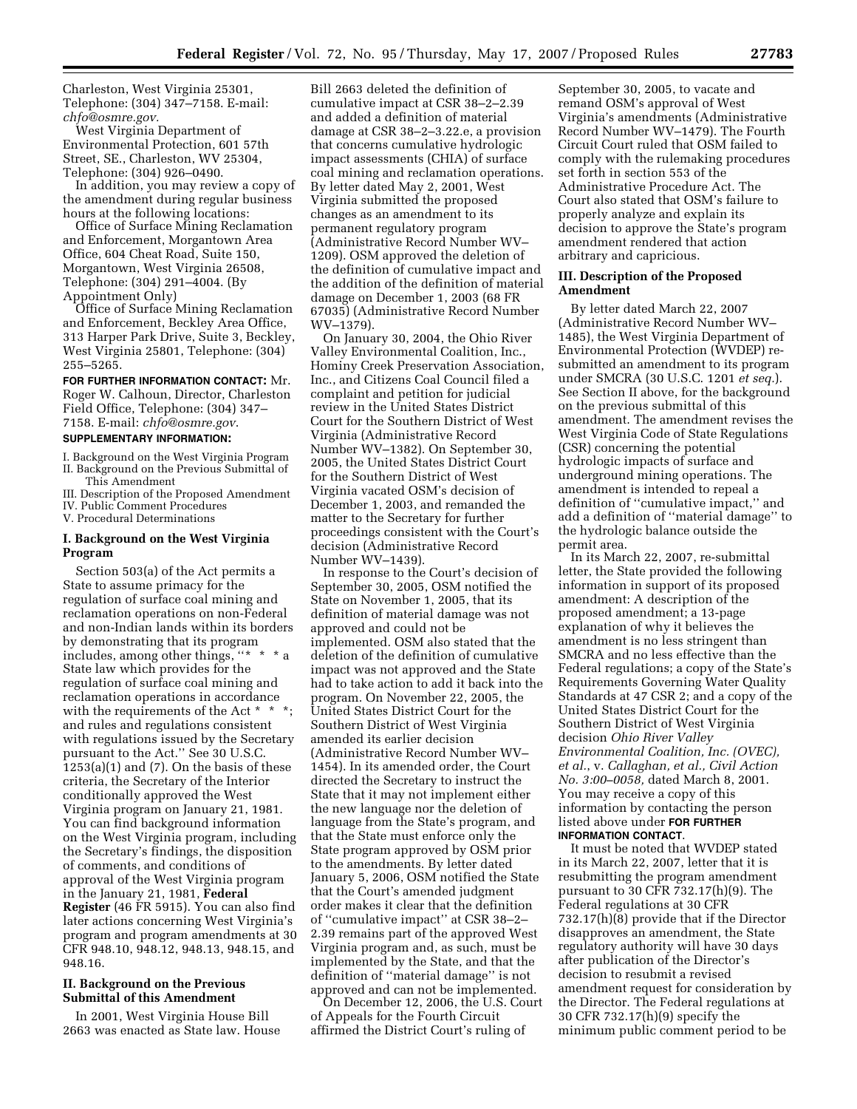Charleston, West Virginia 25301, Telephone: (304) 347–7158. E-mail: *chfo@osmre.gov.* 

West Virginia Department of Environmental Protection, 601 57th Street, SE., Charleston, WV 25304, Telephone: (304) 926–0490.

In addition, you may review a copy of the amendment during regular business hours at the following locations:

Office of Surface Mining Reclamation and Enforcement, Morgantown Area Office, 604 Cheat Road, Suite 150, Morgantown, West Virginia 26508, Telephone: (304) 291–4004. (By Appointment Only)

Office of Surface Mining Reclamation and Enforcement, Beckley Area Office, 313 Harper Park Drive, Suite 3, Beckley, West Virginia 25801, Telephone: (304) 255–5265.

**FOR FURTHER INFORMATION CONTACT:** Mr. Roger W. Calhoun, Director, Charleston Field Office, Telephone: (304) 347– 7158. E-mail: *chfo@osmre.gov*.

#### **SUPPLEMENTARY INFORMATION:**

I. Background on the West Virginia Program II. Background on the Previous Submittal of This Amendment

III. Description of the Proposed Amendment IV. Public Comment Procedures

V. Procedural Determinations

## **I. Background on the West Virginia Program**

Section 503(a) of the Act permits a State to assume primacy for the regulation of surface coal mining and reclamation operations on non-Federal and non-Indian lands within its borders by demonstrating that its program includes, among other things, "\* \* \* a State law which provides for the regulation of surface coal mining and reclamation operations in accordance with the requirements of the Act \* \* \*; and rules and regulations consistent with regulations issued by the Secretary pursuant to the Act.'' See 30 U.S.C.  $1253(a)(1)$  and  $(7)$ . On the basis of these criteria, the Secretary of the Interior conditionally approved the West Virginia program on January 21, 1981. You can find background information on the West Virginia program, including the Secretary's findings, the disposition of comments, and conditions of approval of the West Virginia program in the January 21, 1981, **Federal Register** (46 FR 5915). You can also find later actions concerning West Virginia's program and program amendments at 30 CFR 948.10, 948.12, 948.13, 948.15, and 948.16.

## **II. Background on the Previous Submittal of this Amendment**

In 2001, West Virginia House Bill 2663 was enacted as State law. House Bill 2663 deleted the definition of cumulative impact at CSR 38–2–2.39 and added a definition of material damage at CSR 38–2–3.22.e, a provision that concerns cumulative hydrologic impact assessments (CHIA) of surface coal mining and reclamation operations. By letter dated May 2, 2001, West Virginia submitted the proposed changes as an amendment to its permanent regulatory program (Administrative Record Number WV– 1209). OSM approved the deletion of the definition of cumulative impact and the addition of the definition of material damage on December 1, 2003 (68 FR 67035) (Administrative Record Number WV–1379).

On January 30, 2004, the Ohio River Valley Environmental Coalition, Inc., Hominy Creek Preservation Association, Inc., and Citizens Coal Council filed a complaint and petition for judicial review in the United States District Court for the Southern District of West Virginia (Administrative Record Number WV–1382). On September 30, 2005, the United States District Court for the Southern District of West Virginia vacated OSM's decision of December 1, 2003, and remanded the matter to the Secretary for further proceedings consistent with the Court's decision (Administrative Record Number WV–1439).

In response to the Court's decision of September 30, 2005, OSM notified the State on November 1, 2005, that its definition of material damage was not approved and could not be implemented. OSM also stated that the deletion of the definition of cumulative impact was not approved and the State had to take action to add it back into the program. On November 22, 2005, the United States District Court for the Southern District of West Virginia amended its earlier decision (Administrative Record Number WV– 1454). In its amended order, the Court directed the Secretary to instruct the State that it may not implement either the new language nor the deletion of language from the State's program, and that the State must enforce only the State program approved by OSM prior to the amendments. By letter dated January 5, 2006, OSM notified the State that the Court's amended judgment order makes it clear that the definition of ''cumulative impact'' at CSR 38–2– 2.39 remains part of the approved West Virginia program and, as such, must be implemented by the State, and that the definition of ''material damage'' is not approved and can not be implemented.

On December 12, 2006, the U.S. Court of Appeals for the Fourth Circuit affirmed the District Court's ruling of

September 30, 2005, to vacate and remand OSM's approval of West Virginia's amendments (Administrative Record Number WV–1479). The Fourth Circuit Court ruled that OSM failed to comply with the rulemaking procedures set forth in section 553 of the Administrative Procedure Act. The Court also stated that OSM's failure to properly analyze and explain its decision to approve the State's program amendment rendered that action arbitrary and capricious.

#### **III. Description of the Proposed Amendment**

By letter dated March 22, 2007 (Administrative Record Number WV– 1485), the West Virginia Department of Environmental Protection (WVDEP) resubmitted an amendment to its program under SMCRA (30 U.S.C. 1201 *et seq.*). See Section II above, for the background on the previous submittal of this amendment. The amendment revises the West Virginia Code of State Regulations (CSR) concerning the potential hydrologic impacts of surface and underground mining operations. The amendment is intended to repeal a definition of ''cumulative impact,'' and add a definition of ''material damage'' to the hydrologic balance outside the permit area.

In its March 22, 2007, re-submittal letter, the State provided the following information in support of its proposed amendment: A description of the proposed amendment; a 13-page explanation of why it believes the amendment is no less stringent than SMCRA and no less effective than the Federal regulations; a copy of the State's Requirements Governing Water Quality Standards at 47 CSR 2; and a copy of the United States District Court for the Southern District of West Virginia decision *Ohio River Valley Environmental Coalition, Inc. (OVEC), et al.*, v. *Callaghan, et al., Civil Action No. 3:00–0058,* dated March 8, 2001. You may receive a copy of this information by contacting the person listed above under **FOR FURTHER INFORMATION CONTACT**.

It must be noted that WVDEP stated in its March 22, 2007, letter that it is resubmitting the program amendment pursuant to 30 CFR 732.17(h)(9). The Federal regulations at 30 CFR 732.17(h)(8) provide that if the Director disapproves an amendment, the State regulatory authority will have 30 days after publication of the Director's decision to resubmit a revised amendment request for consideration by the Director. The Federal regulations at 30 CFR 732.17(h)(9) specify the minimum public comment period to be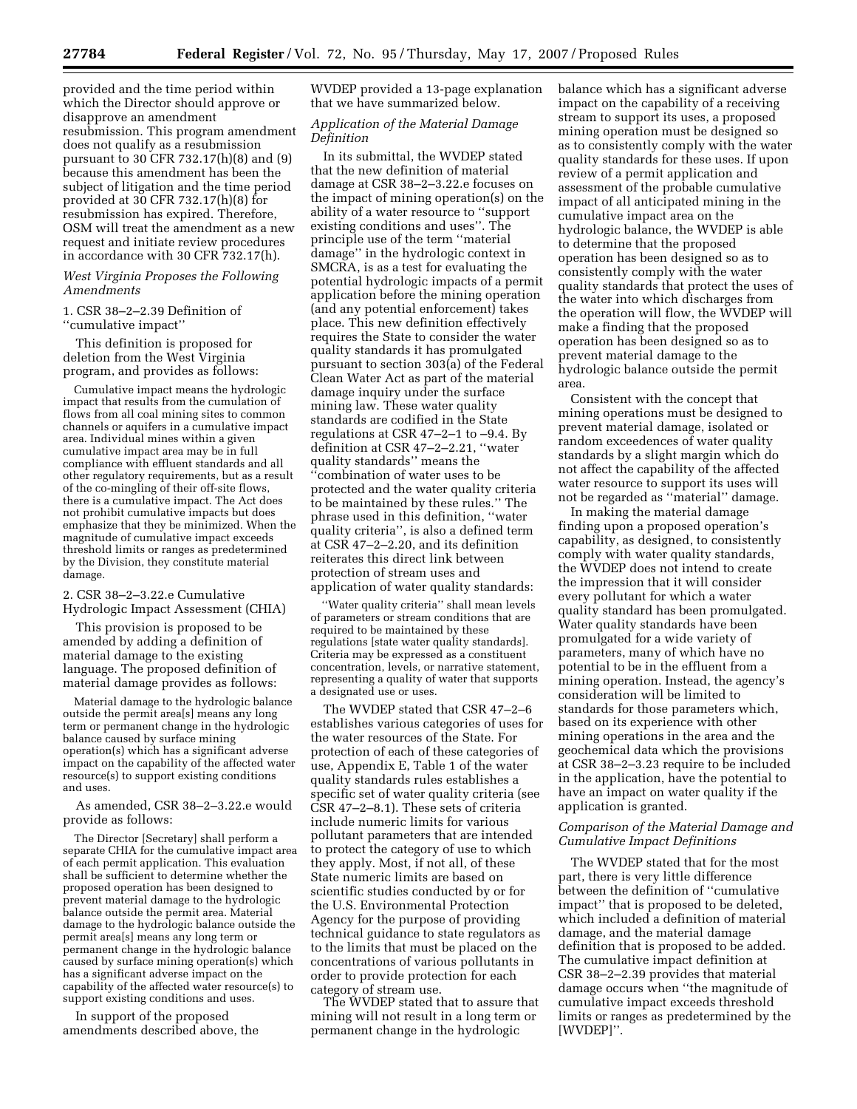provided and the time period within which the Director should approve or disapprove an amendment resubmission. This program amendment does not qualify as a resubmission pursuant to 30 CFR 732.17(h)(8) and (9) because this amendment has been the subject of litigation and the time period provided at 30 CFR 732.17(h)(8) for resubmission has expired. Therefore, OSM will treat the amendment as a new request and initiate review procedures in accordance with 30 CFR 732.17(h).

*West Virginia Proposes the Following Amendments* 

1. CSR 38–2–2.39 Definition of ''cumulative impact''

This definition is proposed for deletion from the West Virginia program, and provides as follows:

Cumulative impact means the hydrologic impact that results from the cumulation of flows from all coal mining sites to common channels or aquifers in a cumulative impact area. Individual mines within a given cumulative impact area may be in full compliance with effluent standards and all other regulatory requirements, but as a result of the co-mingling of their off-site flows, there is a cumulative impact. The Act does not prohibit cumulative impacts but does emphasize that they be minimized. When the magnitude of cumulative impact exceeds threshold limits or ranges as predetermined by the Division, they constitute material damage.

## 2. CSR 38–2–3.22.e Cumulative Hydrologic Impact Assessment (CHIA)

This provision is proposed to be amended by adding a definition of material damage to the existing language. The proposed definition of material damage provides as follows:

Material damage to the hydrologic balance outside the permit area[s] means any long term or permanent change in the hydrologic balance caused by surface mining operation(s) which has a significant adverse impact on the capability of the affected water resource(s) to support existing conditions and uses.

As amended, CSR 38–2–3.22.e would provide as follows:

The Director [Secretary] shall perform a separate CHIA for the cumulative impact area of each permit application. This evaluation shall be sufficient to determine whether the proposed operation has been designed to prevent material damage to the hydrologic balance outside the permit area. Material damage to the hydrologic balance outside the permit area[s] means any long term or permanent change in the hydrologic balance caused by surface mining operation(s) which has a significant adverse impact on the capability of the affected water resource(s) to support existing conditions and uses.

In support of the proposed amendments described above, the WVDEP provided a 13-page explanation that we have summarized below.

## *Application of the Material Damage Definition*

In its submittal, the WVDEP stated that the new definition of material damage at CSR 38–2–3.22.e focuses on the impact of mining operation(s) on the ability of a water resource to ''support existing conditions and uses''. The principle use of the term ''material damage'' in the hydrologic context in SMCRA, is as a test for evaluating the potential hydrologic impacts of a permit application before the mining operation (and any potential enforcement) takes place. This new definition effectively requires the State to consider the water quality standards it has promulgated pursuant to section 303(a) of the Federal Clean Water Act as part of the material damage inquiry under the surface mining law. These water quality standards are codified in the State regulations at CSR 47–2–1 to –9.4. By definition at CSR 47–2–2.21, ''water quality standards'' means the ''combination of water uses to be protected and the water quality criteria to be maintained by these rules.'' The phrase used in this definition, ''water quality criteria'', is also a defined term at CSR 47–2–2.20, and its definition reiterates this direct link between protection of stream uses and application of water quality standards:

''Water quality criteria'' shall mean levels of parameters or stream conditions that are required to be maintained by these regulations [state water quality standards]. Criteria may be expressed as a constituent concentration, levels, or narrative statement, representing a quality of water that supports a designated use or uses.

The WVDEP stated that CSR 47–2–6 establishes various categories of uses for the water resources of the State. For protection of each of these categories of use, Appendix E, Table 1 of the water quality standards rules establishes a specific set of water quality criteria (see CSR 47–2–8.1). These sets of criteria include numeric limits for various pollutant parameters that are intended to protect the category of use to which they apply. Most, if not all, of these State numeric limits are based on scientific studies conducted by or for the U.S. Environmental Protection Agency for the purpose of providing technical guidance to state regulators as to the limits that must be placed on the concentrations of various pollutants in order to provide protection for each category of stream use.

The WVDEP stated that to assure that mining will not result in a long term or permanent change in the hydrologic

balance which has a significant adverse impact on the capability of a receiving stream to support its uses, a proposed mining operation must be designed so as to consistently comply with the water quality standards for these uses. If upon review of a permit application and assessment of the probable cumulative impact of all anticipated mining in the cumulative impact area on the hydrologic balance, the WVDEP is able to determine that the proposed operation has been designed so as to consistently comply with the water quality standards that protect the uses of the water into which discharges from the operation will flow, the WVDEP will make a finding that the proposed operation has been designed so as to prevent material damage to the hydrologic balance outside the permit area.

Consistent with the concept that mining operations must be designed to prevent material damage, isolated or random exceedences of water quality standards by a slight margin which do not affect the capability of the affected water resource to support its uses will not be regarded as ''material'' damage.

In making the material damage finding upon a proposed operation's capability, as designed, to consistently comply with water quality standards, the WVDEP does not intend to create the impression that it will consider every pollutant for which a water quality standard has been promulgated. Water quality standards have been promulgated for a wide variety of parameters, many of which have no potential to be in the effluent from a mining operation. Instead, the agency's consideration will be limited to standards for those parameters which, based on its experience with other mining operations in the area and the geochemical data which the provisions at CSR 38–2–3.23 require to be included in the application, have the potential to have an impact on water quality if the application is granted.

## *Comparison of the Material Damage and Cumulative Impact Definitions*

The WVDEP stated that for the most part, there is very little difference between the definition of ''cumulative impact'' that is proposed to be deleted, which included a definition of material damage, and the material damage definition that is proposed to be added. The cumulative impact definition at CSR 38–2–2.39 provides that material damage occurs when ''the magnitude of cumulative impact exceeds threshold limits or ranges as predetermined by the [WVDEP]''.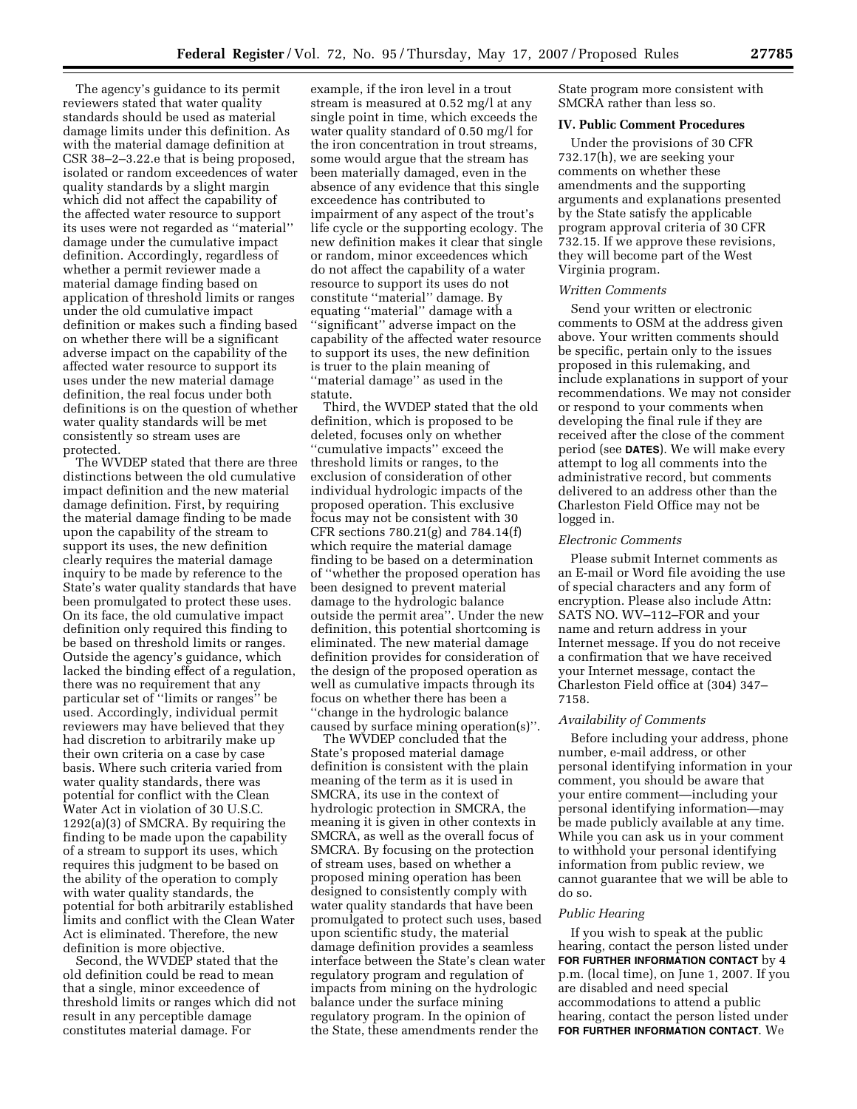The agency's guidance to its permit reviewers stated that water quality standards should be used as material damage limits under this definition. As with the material damage definition at CSR 38–2–3.22.e that is being proposed, isolated or random exceedences of water quality standards by a slight margin which did not affect the capability of the affected water resource to support its uses were not regarded as ''material'' damage under the cumulative impact definition. Accordingly, regardless of whether a permit reviewer made a material damage finding based on application of threshold limits or ranges under the old cumulative impact definition or makes such a finding based on whether there will be a significant adverse impact on the capability of the affected water resource to support its uses under the new material damage definition, the real focus under both definitions is on the question of whether water quality standards will be met consistently so stream uses are protected.

The WVDEP stated that there are three distinctions between the old cumulative impact definition and the new material damage definition. First, by requiring the material damage finding to be made upon the capability of the stream to support its uses, the new definition clearly requires the material damage inquiry to be made by reference to the State's water quality standards that have been promulgated to protect these uses. On its face, the old cumulative impact definition only required this finding to be based on threshold limits or ranges. Outside the agency's guidance, which lacked the binding effect of a regulation, there was no requirement that any particular set of ''limits or ranges'' be used. Accordingly, individual permit reviewers may have believed that they had discretion to arbitrarily make up their own criteria on a case by case basis. Where such criteria varied from water quality standards, there was potential for conflict with the Clean Water Act in violation of 30 U.S.C. 1292(a)(3) of SMCRA. By requiring the finding to be made upon the capability of a stream to support its uses, which requires this judgment to be based on the ability of the operation to comply with water quality standards, the potential for both arbitrarily established limits and conflict with the Clean Water Act is eliminated. Therefore, the new definition is more objective.

Second, the WVDEP stated that the old definition could be read to mean that a single, minor exceedence of threshold limits or ranges which did not result in any perceptible damage constitutes material damage. For

example, if the iron level in a trout stream is measured at 0.52 mg/l at any single point in time, which exceeds the water quality standard of 0.50 mg/l for the iron concentration in trout streams, some would argue that the stream has been materially damaged, even in the absence of any evidence that this single exceedence has contributed to impairment of any aspect of the trout's life cycle or the supporting ecology. The new definition makes it clear that single or random, minor exceedences which do not affect the capability of a water resource to support its uses do not constitute ''material'' damage. By equating ''material'' damage with a ''significant'' adverse impact on the capability of the affected water resource to support its uses, the new definition is truer to the plain meaning of ''material damage'' as used in the statute.

Third, the WVDEP stated that the old definition, which is proposed to be deleted, focuses only on whether ''cumulative impacts'' exceed the threshold limits or ranges, to the exclusion of consideration of other individual hydrologic impacts of the proposed operation. This exclusive focus may not be consistent with 30 CFR sections 780.21(g) and 784.14(f) which require the material damage finding to be based on a determination of ''whether the proposed operation has been designed to prevent material damage to the hydrologic balance outside the permit area''. Under the new definition, this potential shortcoming is eliminated. The new material damage definition provides for consideration of the design of the proposed operation as well as cumulative impacts through its focus on whether there has been a ''change in the hydrologic balance caused by surface mining operation(s)''.

The WVDEP concluded that the State's proposed material damage definition is consistent with the plain meaning of the term as it is used in SMCRA, its use in the context of hydrologic protection in SMCRA, the meaning it is given in other contexts in SMCRA, as well as the overall focus of SMCRA. By focusing on the protection of stream uses, based on whether a proposed mining operation has been designed to consistently comply with water quality standards that have been promulgated to protect such uses, based upon scientific study, the material damage definition provides a seamless interface between the State's clean water regulatory program and regulation of impacts from mining on the hydrologic balance under the surface mining regulatory program. In the opinion of the State, these amendments render the

State program more consistent with SMCRA rather than less so.

#### **IV. Public Comment Procedures**

Under the provisions of 30 CFR 732.17(h), we are seeking your comments on whether these amendments and the supporting arguments and explanations presented by the State satisfy the applicable program approval criteria of 30 CFR 732.15. If we approve these revisions, they will become part of the West Virginia program.

#### *Written Comments*

Send your written or electronic comments to OSM at the address given above. Your written comments should be specific, pertain only to the issues proposed in this rulemaking, and include explanations in support of your recommendations. We may not consider or respond to your comments when developing the final rule if they are received after the close of the comment period (see **DATES**). We will make every attempt to log all comments into the administrative record, but comments delivered to an address other than the Charleston Field Office may not be logged in.

#### *Electronic Comments*

Please submit Internet comments as an E-mail or Word file avoiding the use of special characters and any form of encryption. Please also include Attn: SATS NO. WV–112–FOR and your name and return address in your Internet message. If you do not receive a confirmation that we have received your Internet message, contact the Charleston Field office at (304) 347– 7158.

#### *Availability of Comments*

Before including your address, phone number, e-mail address, or other personal identifying information in your comment, you should be aware that your entire comment—including your personal identifying information—may be made publicly available at any time. While you can ask us in your comment to withhold your personal identifying information from public review, we cannot guarantee that we will be able to do so.

#### *Public Hearing*

If you wish to speak at the public hearing, contact the person listed under **FOR FURTHER INFORMATION CONTACT** by 4 p.m. (local time), on June 1, 2007. If you are disabled and need special accommodations to attend a public hearing, contact the person listed under **FOR FURTHER INFORMATION CONTACT**. We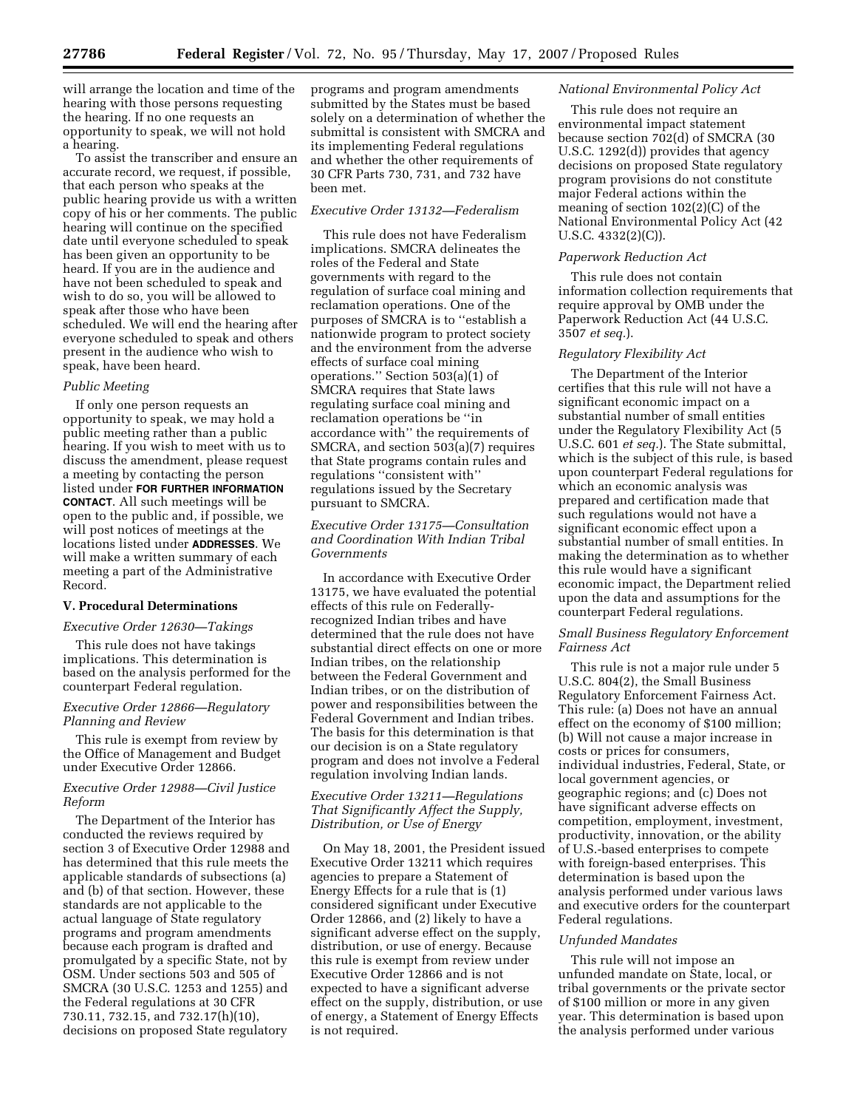will arrange the location and time of the hearing with those persons requesting the hearing. If no one requests an opportunity to speak, we will not hold a hearing.

To assist the transcriber and ensure an accurate record, we request, if possible, that each person who speaks at the public hearing provide us with a written copy of his or her comments. The public hearing will continue on the specified date until everyone scheduled to speak has been given an opportunity to be heard. If you are in the audience and have not been scheduled to speak and wish to do so, you will be allowed to speak after those who have been scheduled. We will end the hearing after everyone scheduled to speak and others present in the audience who wish to speak, have been heard.

#### *Public Meeting*

If only one person requests an opportunity to speak, we may hold a public meeting rather than a public hearing. If you wish to meet with us to discuss the amendment, please request a meeting by contacting the person listed under **FOR FURTHER INFORMATION CONTACT**. All such meetings will be open to the public and, if possible, we will post notices of meetings at the locations listed under **ADDRESSES**. We will make a written summary of each meeting a part of the Administrative Record.

## **V. Procedural Determinations**

#### *Executive Order 12630—Takings*

This rule does not have takings implications. This determination is based on the analysis performed for the counterpart Federal regulation.

#### *Executive Order 12866—Regulatory Planning and Review*

This rule is exempt from review by the Office of Management and Budget under Executive Order 12866.

#### *Executive Order 12988—Civil Justice Reform*

The Department of the Interior has conducted the reviews required by section 3 of Executive Order 12988 and has determined that this rule meets the applicable standards of subsections (a) and (b) of that section. However, these standards are not applicable to the actual language of State regulatory programs and program amendments because each program is drafted and promulgated by a specific State, not by OSM. Under sections 503 and 505 of SMCRA (30 U.S.C. 1253 and 1255) and the Federal regulations at 30 CFR 730.11, 732.15, and 732.17(h)(10), decisions on proposed State regulatory

programs and program amendments submitted by the States must be based solely on a determination of whether the submittal is consistent with SMCRA and its implementing Federal regulations and whether the other requirements of 30 CFR Parts 730, 731, and 732 have been met.

#### *Executive Order 13132—Federalism*

This rule does not have Federalism implications. SMCRA delineates the roles of the Federal and State governments with regard to the regulation of surface coal mining and reclamation operations. One of the purposes of SMCRA is to ''establish a nationwide program to protect society and the environment from the adverse effects of surface coal mining operations.'' Section 503(a)(1) of SMCRA requires that State laws regulating surface coal mining and reclamation operations be ''in accordance with'' the requirements of SMCRA, and section 503(a)(7) requires that State programs contain rules and regulations ''consistent with'' regulations issued by the Secretary pursuant to SMCRA.

## *Executive Order 13175—Consultation and Coordination With Indian Tribal Governments*

In accordance with Executive Order 13175, we have evaluated the potential effects of this rule on Federallyrecognized Indian tribes and have determined that the rule does not have substantial direct effects on one or more Indian tribes, on the relationship between the Federal Government and Indian tribes, or on the distribution of power and responsibilities between the Federal Government and Indian tribes. The basis for this determination is that our decision is on a State regulatory program and does not involve a Federal regulation involving Indian lands.

#### *Executive Order 13211—Regulations That Significantly Affect the Supply, Distribution, or Use of Energy*

On May 18, 2001, the President issued Executive Order 13211 which requires agencies to prepare a Statement of Energy Effects for a rule that is (1) considered significant under Executive Order 12866, and (2) likely to have a significant adverse effect on the supply, distribution, or use of energy. Because this rule is exempt from review under Executive Order 12866 and is not expected to have a significant adverse effect on the supply, distribution, or use of energy, a Statement of Energy Effects is not required.

#### *National Environmental Policy Act*

This rule does not require an environmental impact statement because section  $702(d)$  of SMCRA (30 U.S.C. 1292(d)) provides that agency decisions on proposed State regulatory program provisions do not constitute major Federal actions within the meaning of section 102(2)(C) of the National Environmental Policy Act (42 U.S.C. 4332(2)(C)).

#### *Paperwork Reduction Act*

This rule does not contain information collection requirements that require approval by OMB under the Paperwork Reduction Act (44 U.S.C. 3507 *et seq.*).

#### *Regulatory Flexibility Act*

The Department of the Interior certifies that this rule will not have a significant economic impact on a substantial number of small entities under the Regulatory Flexibility Act (5 U.S.C. 601 *et seq.*). The State submittal, which is the subject of this rule, is based upon counterpart Federal regulations for which an economic analysis was prepared and certification made that such regulations would not have a significant economic effect upon a substantial number of small entities. In making the determination as to whether this rule would have a significant economic impact, the Department relied upon the data and assumptions for the counterpart Federal regulations.

## *Small Business Regulatory Enforcement Fairness Act*

This rule is not a major rule under 5 U.S.C. 804(2), the Small Business Regulatory Enforcement Fairness Act. This rule: (a) Does not have an annual effect on the economy of \$100 million; (b) Will not cause a major increase in costs or prices for consumers, individual industries, Federal, State, or local government agencies, or geographic regions; and (c) Does not have significant adverse effects on competition, employment, investment, productivity, innovation, or the ability of U.S.-based enterprises to compete with foreign-based enterprises. This determination is based upon the analysis performed under various laws and executive orders for the counterpart Federal regulations.

#### *Unfunded Mandates*

This rule will not impose an unfunded mandate on State, local, or tribal governments or the private sector of \$100 million or more in any given year. This determination is based upon the analysis performed under various